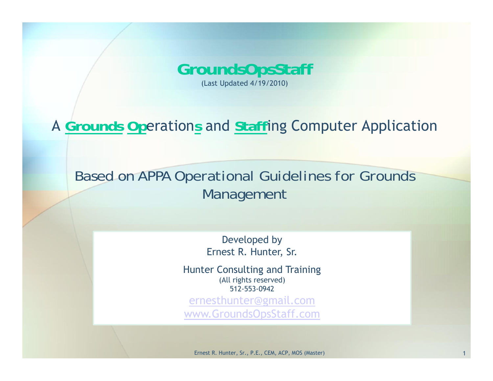

### A **Grounds Op**eration**<sup>s</sup>** and **Staff**ing Computer Application

*Based on APPA Operational Guidelines for Grounds Management*

> Developed by Ernest R. Hunter, Sr.

Hunter Consulting and Training (All rights reserved) 512-553-0942

ernesthunter@gmail.com www.GroundsOpsStaff.com

Ernest R. Hunter, Sr., P.E., CEM, ACP, MOS (Master) 1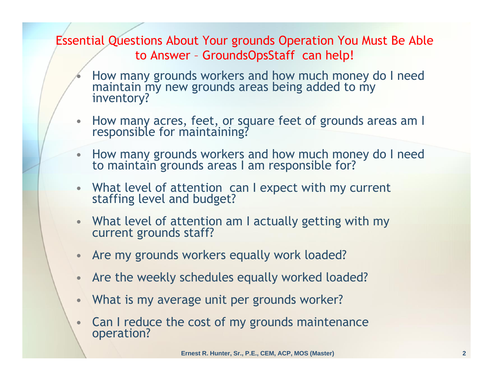Essential Questions About Your grounds Operation You Must Be Able to Answer – GroundsOpsStaff can help!

- •How many grounds workers and how much money do I need maintain my new grounds areas being added to my inventory?
- •How many acres, feet, or square feet of grounds areas am I responsible for maintaining?
- How many grounds workers and how much money do I need to maintain grounds areas I am responsible for?
- $\bullet$ What level of attention can I expect with my current staffing level and budget?
- What level of attention am I actually getting with my current grounds staff?
- Are my grounds workers equally work loaded?
- •Are the weekly schedules equally worked loaded?
- $\bullet$ What is my average unit per grounds worker?
- $\bullet$ Can I reduce the cost of my grounds maintenance operation?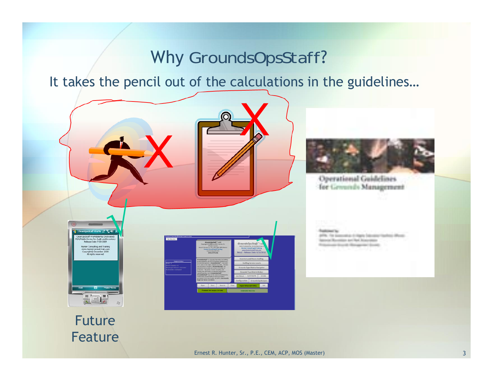### Why *GroundsOpsStaff*?

It takes the pencil out of the calculations in the guidelines…



Ernest R. Hunter, Sr., P.E., CEM, ACP, MOS (Master) 3

Feature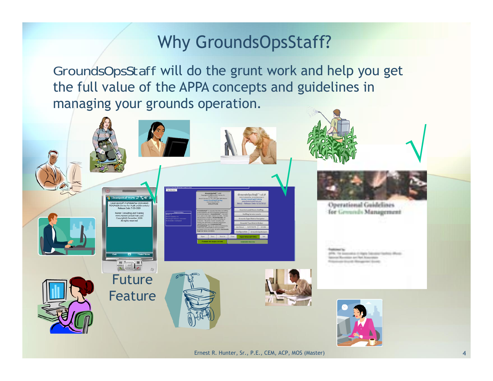# Why GroundsOpsStaff?

*GroundsOpsStaff* will do the grunt work and help you get the full value of the APPA concepts and guidelines in managing your grounds operation.

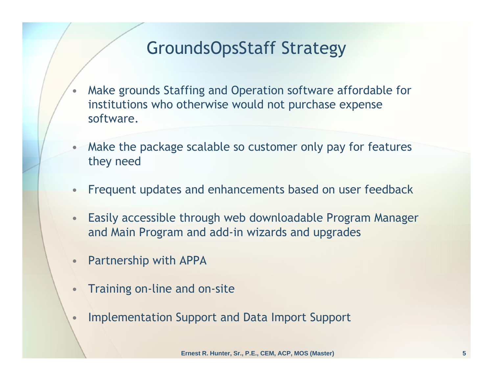# GroundsOpsStaff Strategy

- • Make grounds Staffing and Operation software affordable for institutions who otherwise would not purchase expense software.
- • Make the package scalable so customer only pay for features they need
- $\bullet$ Frequent updates and enhancements based on user feedback
- • Easily accessible through web downloadable Program Manager and Main Program and add-in wizards and upgrades
- •Partnership with APPA
- •Training on-line and on-site
- •Implementation Support and Data Import Support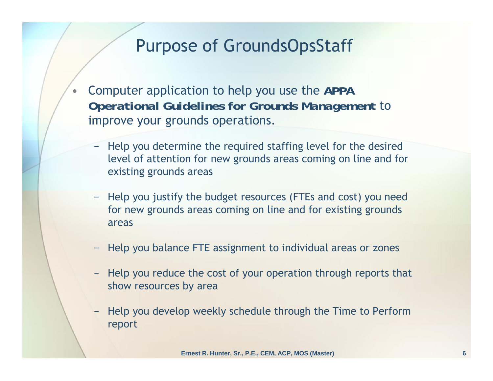### Purpose of GroundsOpsStaff

- • Computer application to help you use the *APPA Operational Guidelines for Grounds Management* to improve your grounds operations.
	- − Help you determine the required staffing level for the desired level of attention for new grounds areas coming on line and for existing grounds areas
	- − Help you justify the budget resources (FTEs and cost) you need for new grounds areas coming on line and for existing grounds areas
	- −Help you balance FTE assignment to individual areas or zones
	- − Help you reduce the cost of your operation through reports that show resources by area
	- − Help you develop weekly schedule through the Time to Perform report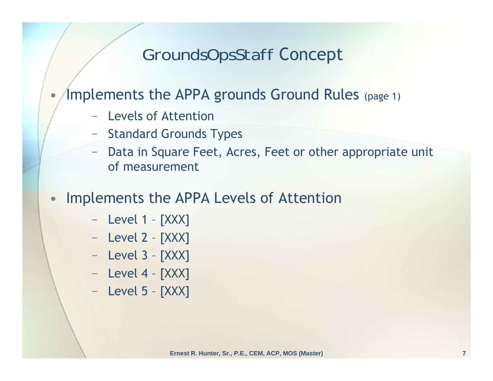### *GroundsOpsStaff* Concept

•Implements the APPA grounds Ground Rules (page 1)

- Levels of Attention
- − Standard Grounds Types
- Data in Square Feet, Acres, Feet or other appropriate unit of measurement
- • Implements the APPA Levels of Attention
	- − Level 1 [XXX]
	- −Level 2 – [XXX]
	- −Level 3 – [XXX]
	- − Level 4 [XXX]
	- − Level 5 [XXX]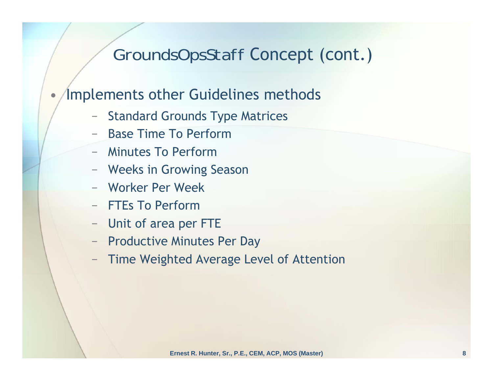### *GroundsOpsStaff* Concept (cont.)

#### •Implements other Guidelines methods

- −Standard Grounds Type Matrices
- Base Time To Perform
- Minutes To Perform
- −Weeks in Growing Season
- Worker Per Week
- FTEs To Perform
- −Unit of area per FTE
- Productive Minutes Per Day
- Time Weighted Average Level of Attention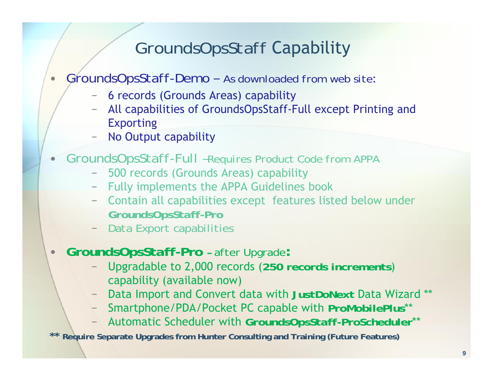### *GroundsOpsStaff* Capability

#### $\bullet$ *GroundsOpsStaff-Demo – As downloaded from web site*:

- − 6 records (Grounds Areas) capability
- All capabilities of GroundsOpsStaff-Full except Printing and Exporting
- No Output capability
- • *GroundsOpsStaff-Full –Requires Product Code from APPA*
	- 500 records (Grounds Areas) capability
	- −Fully implements the APPA Guidelines book
	- − Contain all capabilities except features listed below under *GroundsOpsStaff-Pro*
	- *Data Export capabilities*
- $\bullet$  *GroundsOpsStaff-Pro – after Upgrade***:**
	- Upgradable to 2,000 records (*250 records increments*) capability (available now)
	- Data Import and Convert data with *JustDoNext* Data Wizard \*\*
	- Smartphone/PDA/Pocket PC capable with *ProMobilePlus*\*\*
	- Automatic Scheduler with *GroundsOpsStaff-ProScheduler*\*\*

**\*\* Require Separate Upgrades from Hunter Consulting and Training (Future Features)**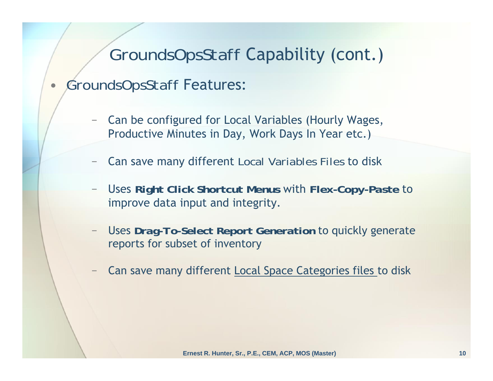### *GroundsOpsStaff* Capability (cont.)

#### •*GroundsOpsStaff* Features:

- Can be configured for Local Variables (Hourly Wages, Productive Minutes in Day, Work Days In Year etc.)
- Can save many different *Local Variables Files* to disk
- Uses *Right Click Shortcut Menus* with *Flex-Copy-Paste* to improve data input and integrity.
- Uses *Drag-To-Select Report Generation* to quickly generate reports for subset of inventory
- Can save many different Local Space Categories files to disk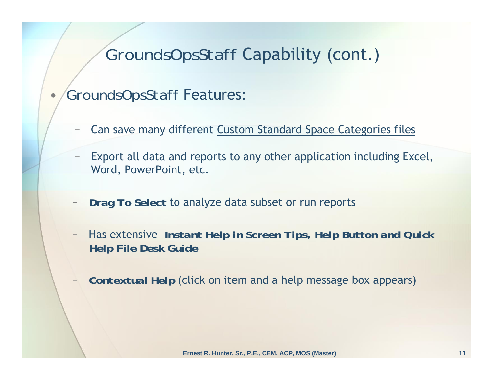### *GroundsOpsStaff* Capability (cont.)

*GroundsOpsStaff* Features:

•

- Can save many different Custom Standard Space Categories files
- Export all data and reports to any other application including Excel, Word, PowerPoint, etc.
- *Drag To Select* to analyze data subset or run reports
- Has extensive *Instant Help in Screen Tips, Help Button and Quick Help File Desk Guide*
- *Contextual Help* (click on item and a help message box appears)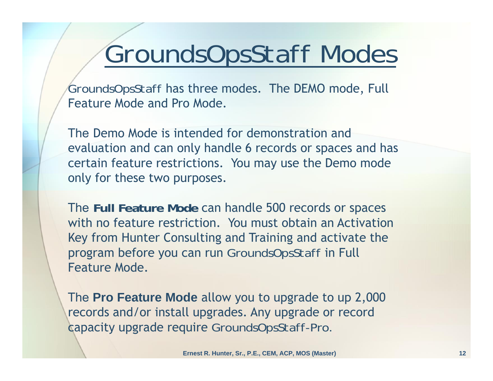# *GroundsOpsStaff Modes*

*GroundsOpsStaff* has three modes. The DEMO mode, Full Feature Mode and Pro Mode.

The Demo Mode is intended for demonstration and evaluation and can only handle 6 records or spaces and has certain feature restrictions. You may use the Demo mode only for these two purposes.

The **Full Feature Mode** can handle 500 records or spaces with no feature restriction. You must obtain an Activation Key from Hunter Consulting and Training and activate the program before you can run *GroundsOpsStaff* in Full Feature Mode.

The **Pro Feature Mode** allow you to upgrade to up 2,000 records and/or install upgrades. Any upgrade or record capacity upgrade require *GroundsOpsStaff-Pro.*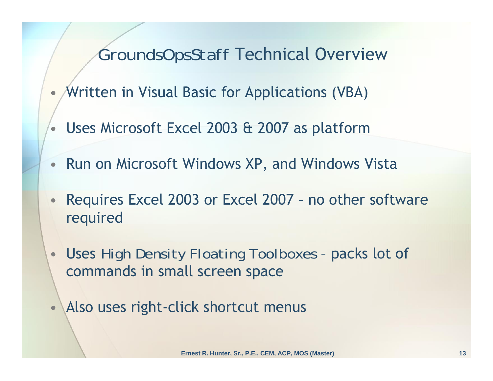### *GroundsOpsStaff* Technical Overview

- •Written in Visual Basic for Applications (VBA)
- Uses Microsoft Excel 2003 & 2007 as platform
- •Run on Microsoft Windows XP, and Windows Vista
- • Requires Excel 2003 or Excel 2007 – no other software required
- $\bullet$  Uses *High Density Floating Toolboxes* – packs lot of commands in small screen space
- Also uses right-click shortcut menus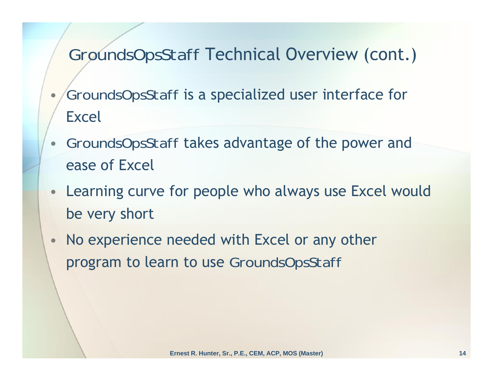# *GroundsOpsStaff* Technical Overview (cont.)

- • *GroundsOpsStaff* is a specialized user interface for Excel
- *GroundsOpsStaff* takes advantage of the power and ease of Excel
- Learning curve for people who always use Excel would be very short
- • No experience needed with Excel or any other program to learn to use *GroundsOpsStaff*